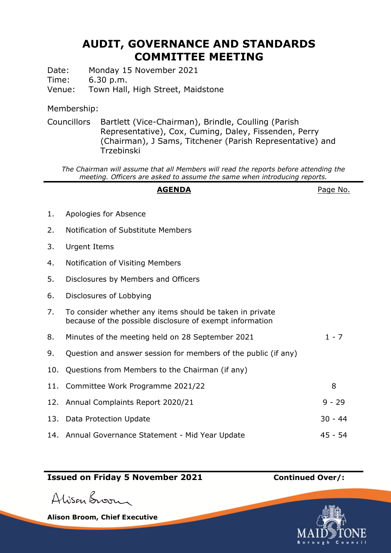## **AUDIT, GOVERNANCE AND STANDARDS COMMITTEE MEETING**

Date: Monday 15 November 2021

Time: 6.30 p.m.

Venue: Town Hall, High Street, Maidstone

Membership:

Councillors Bartlett (Vice-Chairman), Brindle, Coulling (Parish Representative), Cox, Cuming, Daley, Fissenden, Perry (Chairman), J Sams, Titchener (Parish Representative) and Trzebinski

*The Chairman will assume that all Members will read the reports before attending the meeting. Officers are asked to assume the same when introducing reports.*

## **AGENDA** Page No.

- 1. Apologies for Absence
- 2. Notification of Substitute Members
- 3. Urgent Items
- 4. Notification of Visiting Members
- 5. Disclosures by Members and Officers
- 6. Disclosures of Lobbying
- 7. To consider whether any items should be taken in private because of the possible disclosure of exempt information
- 8. Minutes of the meeting held on 28 September 2021 1 7
- 9. Question and answer session for members of the public (if any)
- 10. Questions from Members to the Chairman (if any)
- 11. Committee Work Programme 2021/22 8 12. Annual Complaints Report 2020/21 9 - 29 13. Data Protection Update 30 - 44 14. Annual Governance Statement - Mid Year Update 45 - 45 - 54

## **Issued on Friday 5 November 2021 Continued Over/:**

Alisan Broom

**Alison Broom, Chief Executive**